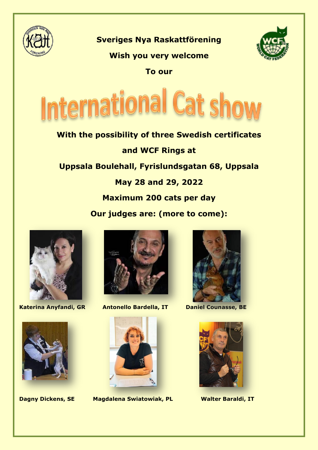

**Sveriges Nya Raskattförening**

# **Wish you very welcome**

**To our**



**With the possibility of three Swedish certificates and WCF Rings at Uppsala Boulehall, Fyrislundsgatan 68, Uppsala May 28 and 29, 2022 Maximum 200 cats per day Our judges are: (more to come):**





**Katerina Anyfandi, GR Antonello Bardella, IT Daniel Counasse, BE**



**Dagny Dickens, SE Magdalena Swiatowiak, PL Walter Baraldi, IT**